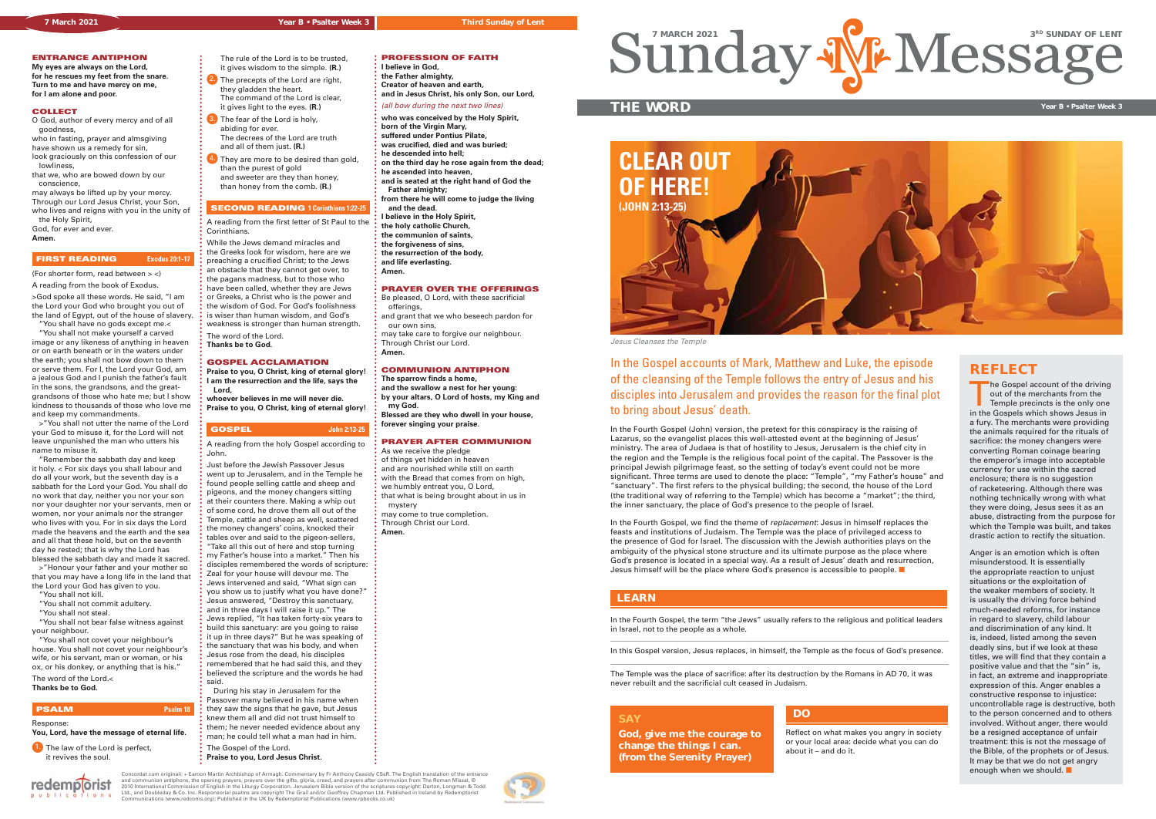The Gospel account of the driving out of the merchants from the Temple precincts is the only one in the Gospels which shows Jesus in a fury. The merchants were providing the animals required for the rituals of sacrifice: the money changers were converting Roman coinage bearing the emperor's image into acceptable currency for use within the sacred enclosure; there is no suggestion of racketeering. Although there was nothing technically wrong with what they were doing, Jesus sees it as an abuse, distracting from the purpose for which the Temple was built, and takes drastic action to rectify the situation.

Anger is an emotion which is often misunderstood. It is essentially the appropriate reaction to unjust situations or the exploitation of the weaker members of society. It is usually the driving force behind much-needed reforms, for instance in regard to slavery, child labour and discrimination of any kind. It is, indeed, listed among the seven deadly sins, but if we look at these titles, we will find that they contain a positive value and that the "sin" is, in fact, an extreme and inappropriate expression of this. Anger enables a constructive response to injustice: uncontrollable rage is destructive, both to the person concerned and to others involved. Without anger, there would be a resigned acceptance of unfair treatment: this is not the message of the Bible, of the prophets or of Jesus. It may be that we do not get angry enough when we should.

## **THE WORD Year B • Psalter Week 3**

In the Gospel accounts of Mark, Matthew and Luke, the episode **REFLECT** of the cleansing of the Temple follows the entry of Jesus and his disciples into Jerusalem and provides the reason for the final plot to bring about Jesus' death.

In the Fourth Gospel (John) version, the pretext for this conspiracy is the raising of Lazarus, so the evangelist places this well-attested event at the beginning of Jesus' ministry. The area of Judaea is that of hostility to Jesus, Jerusalem is the chief city in the region and the Temple is the religious focal point of the capital. The Passover is the principal Jewish pilgrimage feast, so the setting of today's event could not be more significant. Three terms are used to denote the place: "Temple", "my Father's house" and "sanctuary". The first refers to the physical building; the second, the house of the Lord (the traditional way of referring to the Temple) which has become a "market"; the third, the inner sanctuary, the place of God's presence to the people of Israel.

In the Fourth Gospel, we find the theme of *replacement*: Jesus in himself replaces the feasts and institutions of Judaism. The Temple was the place of privileged access to the presence of God for Israel. The discussion with the Jewish authorities plays on the ambiguity of the physical stone structure and its ultimate purpose as the place where God's presence is located in a special way. As a result of Jesus' death and resurrection, Jesus himself will be the place where God's presence is accessible to people.

**You, Lord, have the message of eternal life. 1.** The law of the Lord is perfect,

ons

A reading from the first letter of St Paul to the **Corinthians** 

## **SAY**

**God, give me the courage to change the things I can. (from the Serenity Prayer)**

## Reflect on what makes you angry in society or your local area: decide what you can do about it – and do it.

**DO**

Concordat cum originali: + Eamon Martin Archbishop of Armagh. Commentary by Fr Anthony Cassidy CSsR. The English translation of the entrance<br>and communion antiphons, the opening prayers, prayers over the gifts, gloria, ror



In the Fourth Gospel, the term "the Jews" usually refers to the religious and political leaders in Israel, not to the people as a whole.

In this Gospel version, Jesus replaces, in himself, the Temple as the focus of God's presence.

The Temple was the place of sacrifice: after its destruction by the Romans in AD 70, it was never rebuilt and the sacrificial cult ceased in Judaism.

## **LEARN**

## **ENTRANCE ANTIPHON**

**My eyes are always on the Lord, for he rescues my feet from the snare. Turn to me and have mercy on me, for I am alone and poor.**

### **COLLECT**

O God, author of every mercy and of all goodness,

who in fasting, prayer and almsgiving have shown us a remedy for sin,

look graciously on this confession of our

 lowliness, that we, who are bowed down by our

 conscience, may always be lifted up by your mercy. Through our Lord Jesus Christ, your Son,

who lives and reigns with you in the unity of the Holy Spirit,

God, for ever and ever.

**Amen.**

### **FIRST READING Exodus 20:1-17**

(For shorter form, read between > <)

A reading from the book of Exodus. >God spoke all these words. He said, "I am the Lord your God who brought you out of the land of Egypt, out of the house of slavery. "You shall have no gods except me.<

 "You shall not make yourself a carved image or any likeness of anything in heaven or on earth beneath or in the waters under the earth; you shall not bow down to them or serve them. For I, the Lord your God, am a jealous God and I punish the father's fault in the sons, the grandsons, and the greatgrandsons of those who hate me; but I show kindness to thousands of those who love me and keep my commandments.

 >"You shall not utter the name of the Lord your God to misuse it, for the Lord will not leave unpunished the man who utters his name to misuse it.

 "Remember the sabbath day and keep it holy. < For six days you shall labour and do all your work, but the seventh day is a sabbath for the Lord your God. You shall do no work that day, neither you nor your son nor your daughter nor your servants, men or women, nor your animals nor the stranger who lives with you. For in six days the Lord made the heavens and the earth and the sea and all that these hold, but on the seventh day he rested; that is why the Lord has blessed the sabbath day and made it sacred.

 >"Honour your father and your mother so that you may have a long life in the land that the Lord your God has given to you.

- "You shall not kill.
- "You shall not commit adultery.
- "You shall not steal.
- "You shall not bear false witness against your neighbour.

 "You shall not covet your neighbour's house. You shall not covet your neighbour's wife, or his servant, man or woman, or his ox, or his donkey, or anything that is his."

The word of the Lord.< **Thanks be to God.** 

redemplorist

## **PSALM Psalm 18**

Response:

it revives the soul.

 The rule of the Lord is to be trusted, it gives wisdom to the simple. **(R.)** 2. The precepts of the Lord are right, they gladden the heart.

- The command of the Lord is clear, it gives light to the eyes. **(R.)**
- **3.** The fear of the Lord is holy, abiding for ever. The decrees of the Lord are truth
- and all of them just. **(R.)**  $4.$  They are more to be desired than gold. than the purest of gold
- and sweeter are they than honey, than honey from the comb. **(R.)**

## **SECOND READING 1 Corinthians 1:22-25**



Jesus Cleanses the Temple

While the Jews demand miracles and the Greeks look for wisdom, here are we preaching a crucified Christ; to the Jews an obstacle that they cannot get over, to the pagans madness, but to those who have been called, whether they are Jews or Greeks, a Christ who is the power and the wisdom of God. For God's foolishness is wiser than human wisdom, and God's weakness is stronger than human strength.

The word of the Lord.

**Thanks be to God.**

### **GOSPEL ACCLAMATION**

**Praise to you, O Christ, king of eternal glory! I am the resurrection and the life, says the Lord, whoever believes in me will never die.**

**Praise to you, O Christ, king of eternal glory!**

## **GOSPEL John 2:13-25**

A reading from the holy Gospel according to John.

Just before the Jewish Passover Jesus went up to Jerusalem, and in the Temple he found people selling cattle and sheep and pigeons, and the money changers sitting at their counters there. Making a whip out of some cord, he drove them all out of the Temple, cattle and sheep as well, scattered the money changers' coins, knocked their tables over and said to the pigeon-sellers, "Take all this out of here and stop turning my Father's house into a market." Then his disciples remembered the words of scripture: Zeal for your house will devour me. The Jews intervened and said, "What sign can you show us to justify what you have done?" Jesus answered, "Destroy this sanctuary, and in three days I will raise it up." The Jews replied, "It has taken forty-six years to build this sanctuary: are you going to raise it up in three days?" But he was speaking of the sanctuary that was his body, and when Jesus rose from the dead, his disciples remembered that he had said this, and they believed the scripture and the words he had said.

 During his stay in Jerusalem for the Passover many believed in his name when they saw the signs that he gave, but Jesus knew them all and did not trust himself to them; he never needed evidence about any man; he could tell what a man had in him. The Gospel of the Lord.

**Praise to you, Lord Jesus Christ.**

**PROFESSION OF FAITH I believe in God, the Father almighty, Creator of heaven and earth,**

**and in Jesus Christ, his only Son, our Lord,**

(all bow during the next two lines)

**who was conceived by the Holy Spirit,**

**born of the Virgin Mary,**

- **suffered under Pontius Pilate,**
- **was crucified, died and was buried; he descended into hell;**
- **on the third day he rose again from the dead;**
- **he ascended into heaven, and is seated at the right hand of God the**

 **Father almighty; from there he will come to judge the living**

- **and the dead. I believe in the Holy Spirit,**
- **the holy catholic Church,**
- **the communion of saints,**
- **the forgiveness of sins,**
- **the resurrection of the body,**
- **and life everlasting.**

**Amen.**

### **PRAYER OVER THE OFFERINGS**

Be pleased, O Lord, with these sacrificial offerings and grant that we who beseech pardon for

 our own sins, may take care to forgive our neighbour. Through Christ our Lord.

**Amen.**

## **COMMUNION ANTIPHON**

**The sparrow finds a home, and the swallow a nest for her young: by your altars, O Lord of hosts, my King and my God.**

**Blessed are they who dwell in your house, forever singing your praise.**

## **PRAYER AFTER COMMUNION**

As we receive the pledge of things yet hidden in heaven and are nourished while still on earth with the Bread that comes from on high, we humbly entreat you, O Lord, that what is being brought about in us in mystery

may come to true completion. Through Christ our Lord. **Amen.**

SundAy W. Message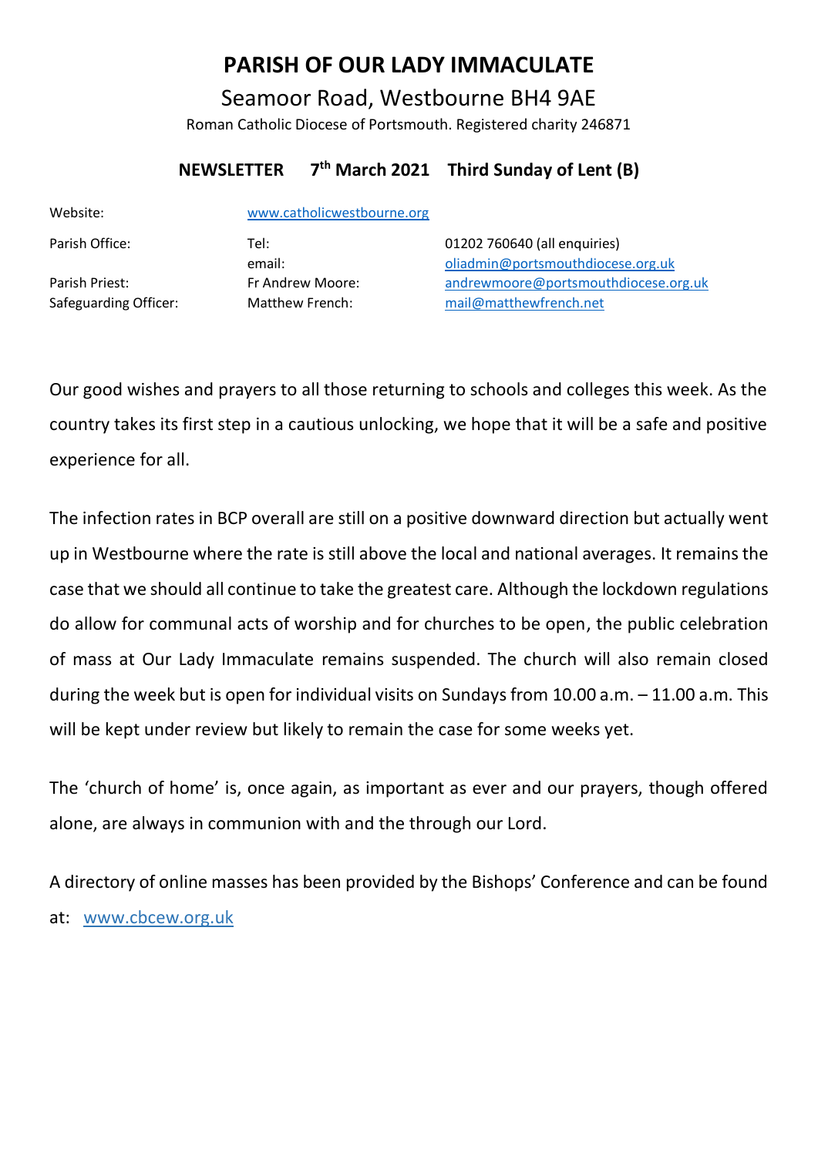# **PARISH OF OUR LADY IMMACULATE**

Seamoor Road, Westbourne BH4 9AE Roman Catholic Diocese of Portsmouth. Registered charity 246871

### **NEWSLETTER 7 th March 2021 Third Sunday of Lent (B)**

| www.catholicwestbourne.org |                                      |
|----------------------------|--------------------------------------|
| Tel:                       | 01202 760640 (all enquiries)         |
| email:                     | oliadmin@portsmouthdiocese.org.uk    |
| Fr Andrew Moore:           | andrewmoore@portsmouthdiocese.org.uk |
| Matthew French:            | mail@matthewfrench.net               |
|                            |                                      |

Our good wishes and prayers to all those returning to schools and colleges this week. As the country takes its first step in a cautious unlocking, we hope that it will be a safe and positive experience for all.

The infection rates in BCP overall are still on a positive downward direction but actually went up in Westbourne where the rate is still above the local and national averages. It remains the case that we should all continue to take the greatest care. Although the lockdown regulations do allow for communal acts of worship and for churches to be open, the public celebration of mass at Our Lady Immaculate remains suspended. The church will also remain closed during the week but is open for individual visits on Sundays from 10.00 a.m. – 11.00 a.m. This will be kept under review but likely to remain the case for some weeks yet.

The 'church of home' is, once again, as important as ever and our prayers, though offered alone, are always in communion with and the through our Lord.

A directory of online masses has been provided by the Bishops' Conference and can be found at: www.cbcew.org.uk